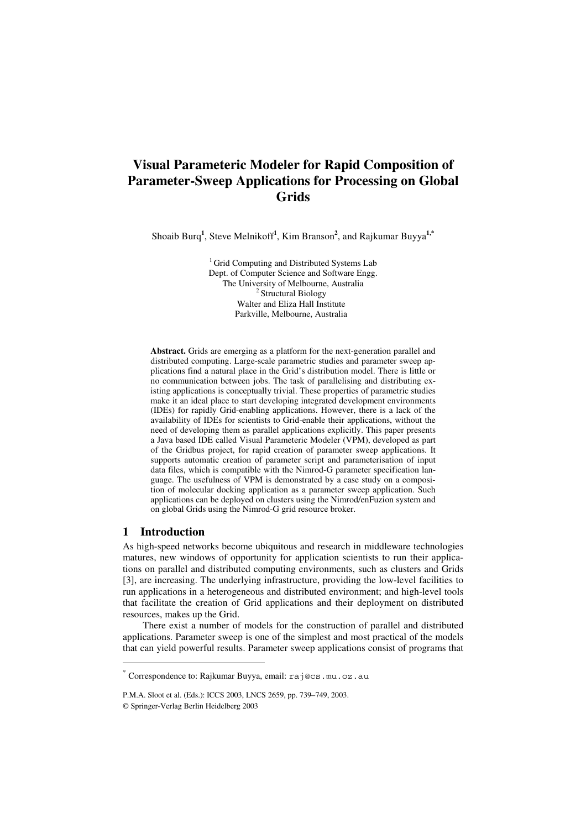# **Visual Parameteric Modeler for Rapid Composition of Parameter-Sweep Applications for Processing on Global Grids**

Shoaib Burq**<sup>1</sup>** , Steve Melnikoff**<sup>1</sup>** , Kim Branson**<sup>2</sup>** , and Rajkumar Buyya**1,\***

<sup>1</sup> Grid Computing and Distributed Systems Lab Dept. of Computer Science and Software Engg. The University of Melbourne, Australia  $\frac{2}{3}$ Structural Biology Walter and Eliza Hall Institute Parkville, Melbourne, Australia

**Abstract.** Grids are emerging as a platform for the next-generation parallel and distributed computing. Large-scale parametric studies and parameter sweep applications find a natural place in the Grid's distribution model. There is little or no communication between jobs. The task of parallelising and distributing existing applications is conceptually trivial. These properties of parametric studies make it an ideal place to start developing integrated development environments (IDEs) for rapidly Grid-enabling applications. However, there is a lack of the availability of IDEs for scientists to Grid-enable their applications, without the need of developing them as parallel applications explicitly. This paper presents a Java based IDE called Visual Parameteric Modeler (VPM), developed as part of the Gridbus project, for rapid creation of parameter sweep applications. It supports automatic creation of parameter script and parameterisation of input data files, which is compatible with the Nimrod-G parameter specification language. The usefulness of VPM is demonstrated by a case study on a composition of molecular docking application as a parameter sweep application. Such applications can be deployed on clusters using the Nimrod/enFuzion system and on global Grids using the Nimrod-G grid resource broker.

## **1 Introduction**

j

As high-speed networks become ubiquitous and research in middleware technologies matures, new windows of opportunity for application scientists to run their applications on parallel and distributed computing environments, such as clusters and Grids [3], are increasing. The underlying infrastructure, providing the low-level facilities to run applications in a heterogeneous and distributed environment; and high-level tools that facilitate the creation of Grid applications and their deployment on distributed resources, makes up the Grid.

 There exist a number of models for the construction of parallel and distributed applications. Parameter sweep is one of the simplest and most practical of the models that can yield powerful results. Parameter sweep applications consist of programs that

<sup>\*</sup> Correspondence to: Rajkumar Buyya, email: raj@cs.mu.oz.au

P.M.A. Sloot et al. (Eds.): ICCS 2003, LNCS 2659, pp. 739–749, 2003. © Springer-Verlag Berlin Heidelberg 2003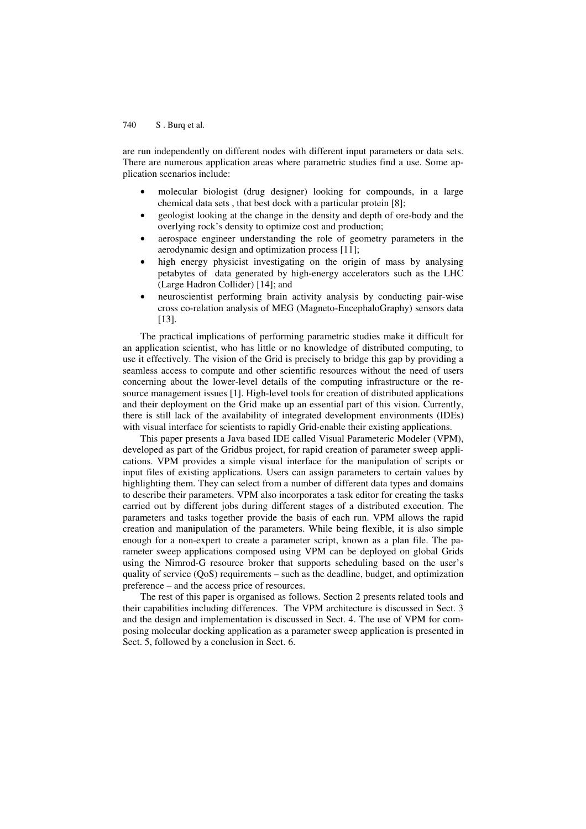are run independently on different nodes with different input parameters or data sets. There are numerous application areas where parametric studies find a use. Some application scenarios include:

- molecular biologist (drug designer) looking for compounds, in a large chemical data sets , that best dock with a particular protein [8];
- geologist looking at the change in the density and depth of ore-body and the overlying rock's density to optimize cost and production;
- aerospace engineer understanding the role of geometry parameters in the aerodynamic design and optimization process [11];
- high energy physicist investigating on the origin of mass by analysing petabytes of data generated by high-energy accelerators such as the LHC (Large Hadron Collider) [14]; and
- neuroscientist performing brain activity analysis by conducting pair-wise cross co-relation analysis of MEG (Magneto-EncephaloGraphy) sensors data [13].

The practical implications of performing parametric studies make it difficult for an application scientist, who has little or no knowledge of distributed computing, to use it effectively. The vision of the Grid is precisely to bridge this gap by providing a seamless access to compute and other scientific resources without the need of users concerning about the lower-level details of the computing infrastructure or the resource management issues [1]. High-level tools for creation of distributed applications and their deployment on the Grid make up an essential part of this vision. Currently, there is still lack of the availability of integrated development environments (IDEs) with visual interface for scientists to rapidly Grid-enable their existing applications.

This paper presents a Java based IDE called Visual Parameteric Modeler (VPM), developed as part of the Gridbus project, for rapid creation of parameter sweep applications. VPM provides a simple visual interface for the manipulation of scripts or input files of existing applications. Users can assign parameters to certain values by highlighting them. They can select from a number of different data types and domains to describe their parameters. VPM also incorporates a task editor for creating the tasks carried out by different jobs during different stages of a distributed execution. The parameters and tasks together provide the basis of each run. VPM allows the rapid creation and manipulation of the parameters. While being flexible, it is also simple enough for a non-expert to create a parameter script, known as a plan file. The parameter sweep applications composed using VPM can be deployed on global Grids using the Nimrod-G resource broker that supports scheduling based on the user's quality of service (QoS) requirements – such as the deadline, budget, and optimization preference – and the access price of resources.

The rest of this paper is organised as follows. Section 2 presents related tools and their capabilities including differences. The VPM architecture is discussed in Sect. 3 and the design and implementation is discussed in Sect. 4. The use of VPM for composing molecular docking application as a parameter sweep application is presented in Sect. 5, followed by a conclusion in Sect. 6.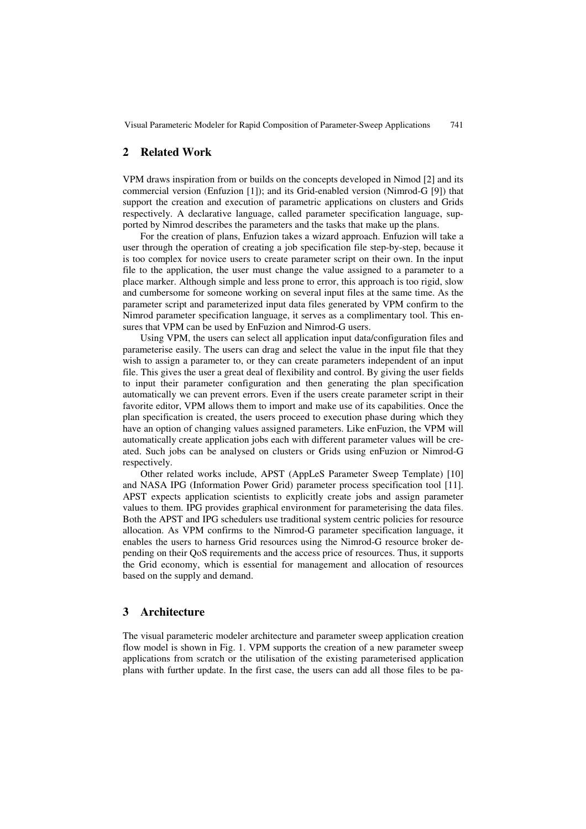## **2 Related Work**

VPM draws inspiration from or builds on the concepts developed in Nimod [2] and its commercial version (Enfuzion [1]); and its Grid-enabled version (Nimrod-G [9]) that support the creation and execution of parametric applications on clusters and Grids respectively. A declarative language, called parameter specification language, supported by Nimrod describes the parameters and the tasks that make up the plans.

For the creation of plans, Enfuzion takes a wizard approach. Enfuzion will take a user through the operation of creating a job specification file step-by-step, because it is too complex for novice users to create parameter script on their own. In the input file to the application, the user must change the value assigned to a parameter to a place marker. Although simple and less prone to error, this approach is too rigid, slow and cumbersome for someone working on several input files at the same time. As the parameter script and parameterized input data files generated by VPM confirm to the Nimrod parameter specification language, it serves as a complimentary tool. This ensures that VPM can be used by EnFuzion and Nimrod-G users.

Using VPM, the users can select all application input data/configuration files and parameterise easily. The users can drag and select the value in the input file that they wish to assign a parameter to, or they can create parameters independent of an input file. This gives the user a great deal of flexibility and control. By giving the user fields to input their parameter configuration and then generating the plan specification automatically we can prevent errors. Even if the users create parameter script in their favorite editor, VPM allows them to import and make use of its capabilities. Once the plan specification is created, the users proceed to execution phase during which they have an option of changing values assigned parameters. Like enFuzion, the VPM will automatically create application jobs each with different parameter values will be created. Such jobs can be analysed on clusters or Grids using enFuzion or Nimrod-G respectively.

Other related works include, APST (AppLeS Parameter Sweep Template) [10] and NASA IPG (Information Power Grid) parameter process specification tool [11]. APST expects application scientists to explicitly create jobs and assign parameter values to them. IPG provides graphical environment for parameterising the data files. Both the APST and IPG schedulers use traditional system centric policies for resource allocation. As VPM confirms to the Nimrod-G parameter specification language, it enables the users to harness Grid resources using the Nimrod-G resource broker depending on their QoS requirements and the access price of resources. Thus, it supports the Grid economy, which is essential for management and allocation of resources based on the supply and demand.

## **3 Architecture**

The visual parameteric modeler architecture and parameter sweep application creation flow model is shown in Fig. 1. VPM supports the creation of a new parameter sweep applications from scratch or the utilisation of the existing parameterised application plans with further update. In the first case, the users can add all those files to be pa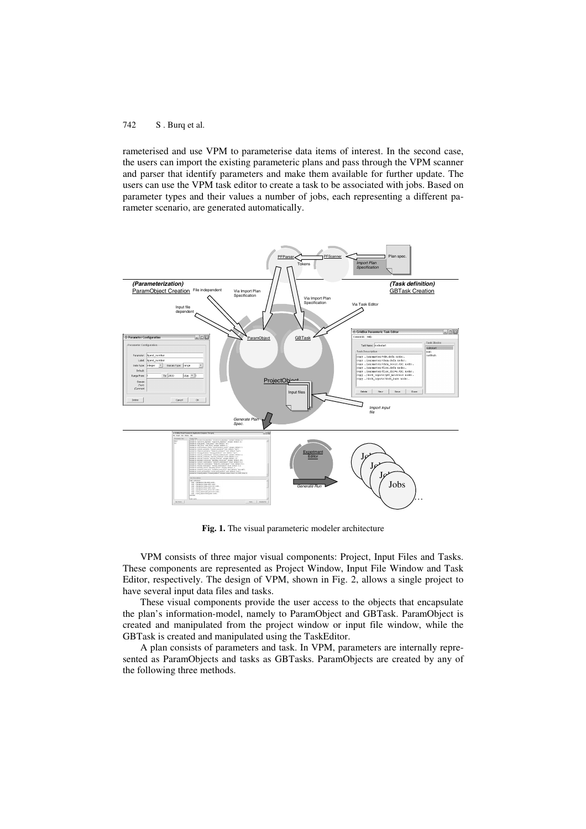rameterised and use VPM to parameterise data items of interest. In the second case, the users can import the existing parameteric plans and pass through the VPM scanner and parser that identify parameters and make them available for further update. The users can use the VPM task editor to create a task to be associated with jobs. Based on parameter types and their values a number of jobs, each representing a different parameter scenario, are generated automatically.



**Fig. 1.** The visual parameteric modeler architecture

VPM consists of three major visual components: Project, Input Files and Tasks. These components are represented as Project Window, Input File Window and Task Editor, respectively. The design of VPM, shown in Fig. 2, allows a single project to have several input data files and tasks.

These visual components provide the user access to the objects that encapsulate the plan's information-model, namely to ParamObject and GBTask. ParamObject is created and manipulated from the project window or input file window, while the GBTask is created and manipulated using the TaskEditor.

A plan consists of parameters and task. In VPM, parameters are internally represented as ParamObjects and tasks as GBTasks. ParamObjects are created by any of the following three methods.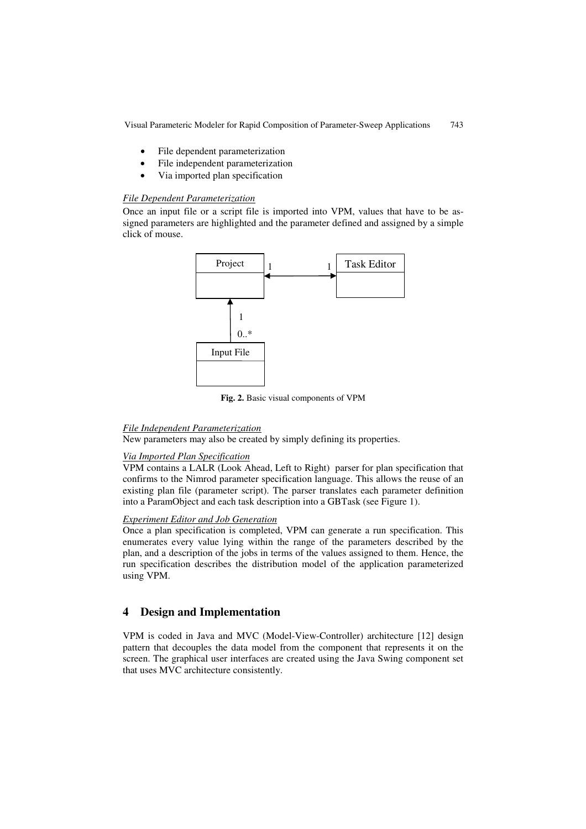- File dependent parameterization
- File independent parameterization
- Via imported plan specification

### *File Dependent Parameterization*

Once an input file or a script file is imported into VPM, values that have to be assigned parameters are highlighted and the parameter defined and assigned by a simple click of mouse.



**Fig. 2.** Basic visual components of VPM

## *File Independent Parameterization*

New parameters may also be created by simply defining its properties.

## *Via Imported Plan Specification*

VPM contains a LALR (Look Ahead, Left to Right) parser for plan specification that confirms to the Nimrod parameter specification language. This allows the reuse of an existing plan file (parameter script). The parser translates each parameter definition into a ParamObject and each task description into a GBTask (see Figure 1).

#### *Experiment Editor and Job Generation*

Once a plan specification is completed, VPM can generate a run specification. This enumerates every value lying within the range of the parameters described by the plan, and a description of the jobs in terms of the values assigned to them. Hence, the run specification describes the distribution model of the application parameterized using VPM.

## **4 Design and Implementation**

VPM is coded in Java and MVC (Model-View-Controller) architecture [12] design pattern that decouples the data model from the component that represents it on the screen. The graphical user interfaces are created using the Java Swing component set that uses MVC architecture consistently.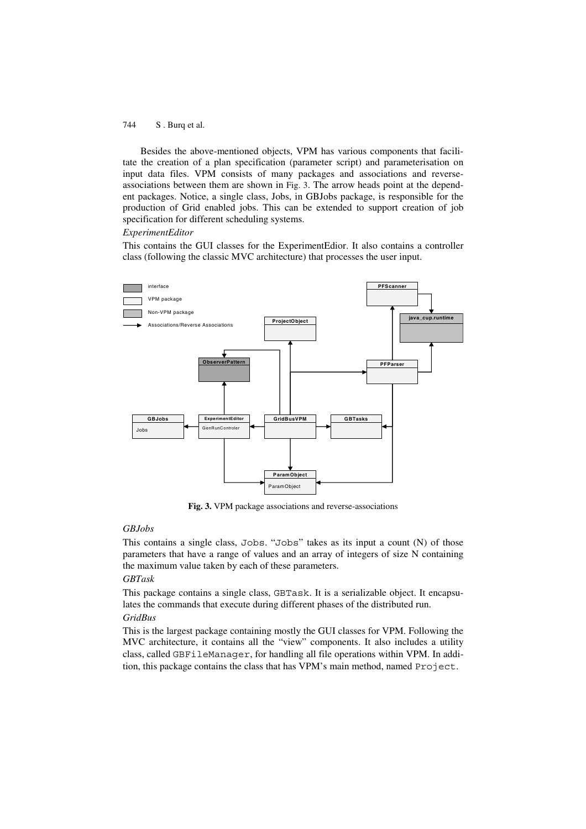Besides the above-mentioned objects, VPM has various components that facilitate the creation of a plan specification (parameter script) and parameterisation on input data files. VPM consists of many packages and associations and reverseassociations between them are shown in Fig. 3. The arrow heads point at the dependent packages. Notice, a single class, Jobs, in GBJobs package, is responsible for the production of Grid enabled jobs. This can be extended to support creation of job specification for different scheduling systems.

### *ExperimentEditor*

This contains the GUI classes for the ExperimentEdior. It also contains a controller class (following the classic MVC architecture) that processes the user input.



**Fig. 3.** VPM package associations and reverse-associations

## *GBJobs*

This contains a single class, Jobs. "Jobs" takes as its input a count (N) of those parameters that have a range of values and an array of integers of size N containing the maximum value taken by each of these parameters.

## *GBTask*

This package contains a single class, GBTask. It is a serializable object. It encapsulates the commands that execute during different phases of the distributed run.

## *GridBus*

This is the largest package containing mostly the GUI classes for VPM. Following the MVC architecture, it contains all the "view" components. It also includes a utility class, called GBFileManager, for handling all file operations within VPM. In addition, this package contains the class that has VPM's main method, named Project.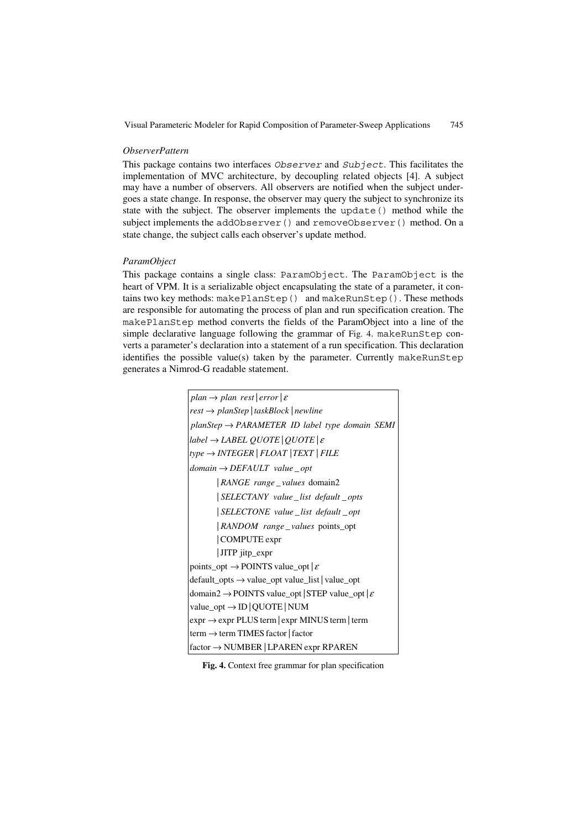#### *ObserverPattern*

This package contains two interfaces *Observer* and *Subject*. This facilitates the implementation of MVC architecture, by decoupling related objects [4]. A subject may have a number of observers. All observers are notified when the subject undergoes a state change. In response, the observer may query the subject to synchronize its state with the subject. The observer implements the update() method while the subject implements the addObserver() and removeObserver() method. On a state change, the subject calls each observer's update method.

## *ParamObject*

This package contains a single class: ParamObject. The ParamObject is the heart of VPM. It is a serializable object encapsulating the state of a parameter, it contains two key methods: makePlanStep() and makeRunStep(). These methods are responsible for automating the process of plan and run specification creation. The makePlanStep method converts the fields of the ParamObject into a line of the simple declarative language following the grammar of Fig. 4. makeRunStep converts a parameter's declaration into a statement of a run specification. This declaration identifies the possible value(s) taken by the parameter. Currently makeRunStep generates a Nimrod-G readable statement.

| $plan \rightarrow plan \; rest   error  \varepsilon$                |
|---------------------------------------------------------------------|
| $rest \rightarrow planStep   taskBlock   new line$                  |
| $planStep \rightarrow PARAMETER$ ID label type domain SEMI          |
| $label \rightarrow LABEL QUOTE   QUOTE   E$                         |
| $type \rightarrow INTEGR$   $FLOAT$   $TEXT$   $FILE$               |
| $domain \rightarrow DEFAULT$ value _opt                             |
| <i>RANGE range values</i> domain2                                   |
| SELECTANY value _list default _opts                                 |
| SELECTONE value list default opt                                    |
| <i>RANDOM range values</i> points opt                               |
| COMPUTE expr                                                        |
| JITP jitp_expr                                                      |
| points_opt $\rightarrow$ POINTS value_opt $\epsilon$                |
| $default\_opts \rightarrow value\_opt value\_list   value\_opt$     |
| domain2 $\rightarrow$ POINTS value_opt STEP value_opt $\varepsilon$ |
| value_opt $\rightarrow$ ID   QUOTE   NUM                            |
| $\exp r \rightarrow \exp r$ PLUS term $\exp r$ MINUS term $\exp r$  |
| $term \rightarrow term$ TIMES factor   factor                       |
| $factor \rightarrow NUMBER   LPAREN \text{expr RPAREN}$             |

**Fig. 4.** Context free grammar for plan specification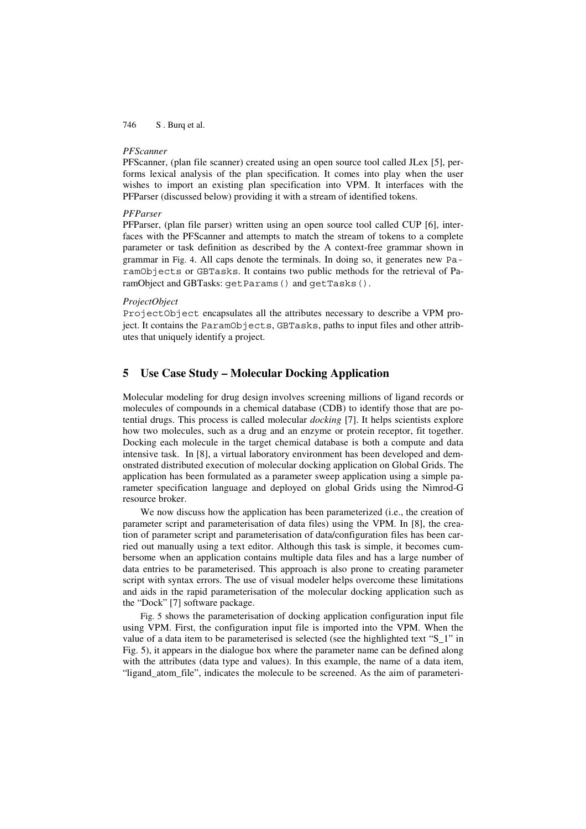## *PFScanner*

PFScanner, (plan file scanner) created using an open source tool called JLex [5], performs lexical analysis of the plan specification. It comes into play when the user wishes to import an existing plan specification into VPM. It interfaces with the PFParser (discussed below) providing it with a stream of identified tokens.

## *PFParser*

PFParser, (plan file parser) written using an open source tool called CUP [6], interfaces with the PFScanner and attempts to match the stream of tokens to a complete parameter or task definition as described by the A context-free grammar shown in grammar in Fig. 4. All caps denote the terminals. In doing so, it generates new ParamObjects or GBTasks. It contains two public methods for the retrieval of ParamObject and GBTasks: getParams() and getTasks().

## *ProjectObject*

ProjectObject encapsulates all the attributes necessary to describe a VPM project. It contains the ParamObjects, GBTasks, paths to input files and other attributes that uniquely identify a project.

# **5 Use Case Study – Molecular Docking Application**

Molecular modeling for drug design involves screening millions of ligand records or molecules of compounds in a chemical database (CDB) to identify those that are potential drugs. This process is called molecular *docking* [7]. It helps scientists explore how two molecules, such as a drug and an enzyme or protein receptor, fit together. Docking each molecule in the target chemical database is both a compute and data intensive task. In [8], a virtual laboratory environment has been developed and demonstrated distributed execution of molecular docking application on Global Grids. The application has been formulated as a parameter sweep application using a simple parameter specification language and deployed on global Grids using the Nimrod-G resource broker.

We now discuss how the application has been parameterized (i.e., the creation of parameter script and parameterisation of data files) using the VPM. In [8], the creation of parameter script and parameterisation of data/configuration files has been carried out manually using a text editor. Although this task is simple, it becomes cumbersome when an application contains multiple data files and has a large number of data entries to be parameterised. This approach is also prone to creating parameter script with syntax errors. The use of visual modeler helps overcome these limitations and aids in the rapid parameterisation of the molecular docking application such as the "Dock" [7] software package.

Fig. 5 shows the parameterisation of docking application configuration input file using VPM. First, the configuration input file is imported into the VPM. When the value of a data item to be parameterised is selected (see the highlighted text "S\_1" in Fig. 5), it appears in the dialogue box where the parameter name can be defined along with the attributes (data type and values). In this example, the name of a data item, "ligand\_atom\_file", indicates the molecule to be screened. As the aim of parameteri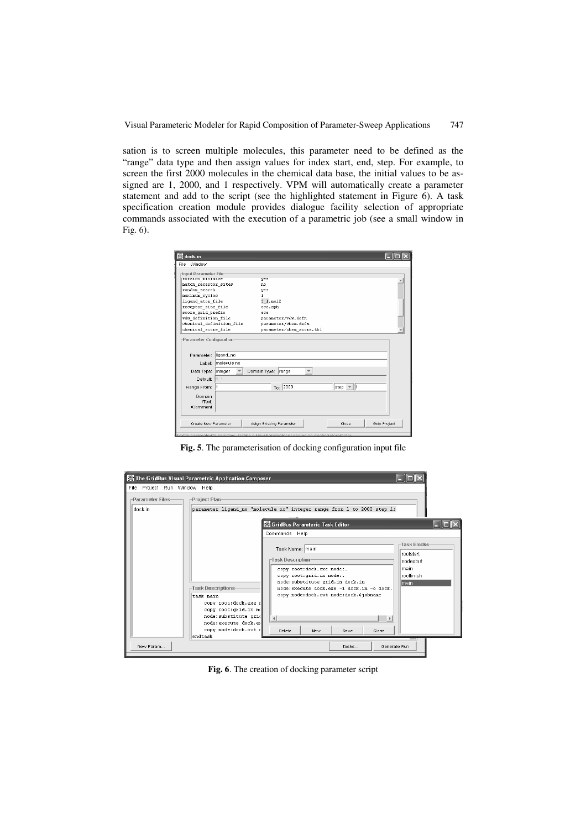sation is to screen multiple molecules, this parameter need to be defined as the "range" data type and then assign values for index start, end, step. For example, to screen the first 2000 molecules in the chemical data base, the initial values to be assigned are 1, 2000, and 1 respectively. VPM will automatically create a parameter statement and add to the script (see the highlighted statement in Figure 6). A task specification creation module provides dialogue facility selection of appropriate commands associated with the execution of a parametric job (see a small window in Fig. 6).

| dock.in                                                                                  |                                |                          |                     |  |                      |                     |
|------------------------------------------------------------------------------------------|--------------------------------|--------------------------|---------------------|--|----------------------|---------------------|
| File Window                                                                              |                                |                          |                     |  |                      |                     |
| <b>Hnput Parameter File</b>                                                              |                                |                          |                     |  |                      |                     |
| torsion minimize                                                                         |                                | yes                      |                     |  |                      |                     |
| match receptor sites                                                                     |                                | no                       |                     |  |                      |                     |
| random search                                                                            |                                | yes                      |                     |  |                      |                     |
| maximum cycles                                                                           |                                | ı.                       |                     |  |                      |                     |
| ligand atom file                                                                         |                                |                          | $S$ 1.mol2          |  |                      |                     |
| receptor site file                                                                       |                                | ece.sph                  |                     |  |                      |                     |
| score grid prefix                                                                        |                                | ece                      |                     |  |                      |                     |
|                                                                                          | vdw definition file            |                          | parameter/vdw.defn  |  |                      |                     |
| chemical definition file                                                                 |                                |                          | parameter/chem.defn |  |                      |                     |
| chemical score file                                                                      | parameter/chem score.tbl       |                          |                     |  |                      |                     |
|                                                                                          |                                |                          |                     |  |                      |                     |
| Parameter:                                                                               | ligand_no                      |                          |                     |  |                      |                     |
| Label:                                                                                   | molecule no                    |                          |                     |  |                      |                     |
| Data Type:                                                                               | Domain Type: range<br>linteger |                          |                     |  |                      |                     |
| s <sub>1</sub><br>Default:                                                               |                                |                          |                     |  |                      |                     |
| Range From:                                                                              |                                |                          | To: 2000            |  | step $\mathbf{v}$  1 |                     |
| Domain                                                                                   |                                |                          |                     |  |                      |                     |
| /Text:                                                                                   |                                |                          |                     |  |                      |                     |
| /Comment                                                                                 |                                |                          |                     |  |                      |                     |
| <b>Create New Parameter</b>                                                              |                                | Asign Existing Parameter |                     |  | Close                | <b>Goto Project</b> |
| ort to incrementarize acleated: Define a Nous Resembles or occide on original Resembles. |                                |                          |                     |  |                      |                     |

**Fig. 5**. The parameterisation of docking configuration input file

| The GridBus Visual Parametric Application Composer                                                                                                                         |                                                                                                                                                                                                                                                                       |                                                                                  |
|----------------------------------------------------------------------------------------------------------------------------------------------------------------------------|-----------------------------------------------------------------------------------------------------------------------------------------------------------------------------------------------------------------------------------------------------------------------|----------------------------------------------------------------------------------|
| File Project Run Window Help                                                                                                                                               |                                                                                                                                                                                                                                                                       |                                                                                  |
| Parameter Files-<br>-Project Plan<br>parameter ligand no "molecule no" integer range from 1 to 2000 step 1;<br>dock.in                                                     |                                                                                                                                                                                                                                                                       |                                                                                  |
|                                                                                                                                                                            | GridBus Paramteric Task Editor                                                                                                                                                                                                                                        |                                                                                  |
|                                                                                                                                                                            | Commands Help                                                                                                                                                                                                                                                         |                                                                                  |
| -Task Descriptions-<br>task main<br>copy root: dock.exe_n <br>copy root: grid. in no<br>node: substitute grid<br>node: execute dock.ex<br>copy node: dock.out n<br>endtask | Task Name: main<br>-Task Description-<br>copy root: dock. exe node:.<br>copy root grid in node:<br>node: substitute grid. in dock. in<br>node: execute dock. exe -i dock. in -o dock.<br>copy node: dock. out node: dock. \$jobname<br>Delete<br>New<br>Save<br>Close | Task Blocks<br>rootstart<br>Inndestart<br>l main<br>rootfinish.<br><b>I</b> main |
| New Param                                                                                                                                                                  | Tasks<br>Generate Run                                                                                                                                                                                                                                                 |                                                                                  |

**Fig. 6**. The creation of docking parameter script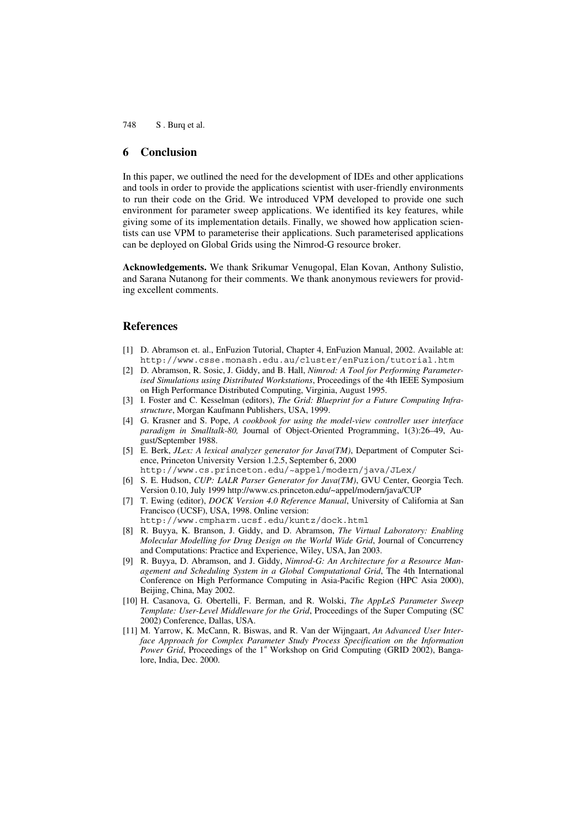## **6 Conclusion**

In this paper, we outlined the need for the development of IDEs and other applications and tools in order to provide the applications scientist with user-friendly environments to run their code on the Grid. We introduced VPM developed to provide one such environment for parameter sweep applications. We identified its key features, while giving some of its implementation details. Finally, we showed how application scientists can use VPM to parameterise their applications. Such parameterised applications can be deployed on Global Grids using the Nimrod-G resource broker.

**Acknowledgements.** We thank Srikumar Venugopal, Elan Kovan, Anthony Sulistio, and Sarana Nutanong for their comments. We thank anonymous reviewers for providing excellent comments.

## **References**

- [1] D. Abramson et. al., EnFuzion Tutorial, Chapter 4, EnFuzion Manual, 2002. Available at: http://www.csse.monash.edu.au/cluster/enFuzion/tutorial.htm
- [2] D. Abramson, R. Sosic, J. Giddy, and B. Hall, *Nimrod: A Tool for Performing Parameterised Simulations using Distributed Workstations*, Proceedings of the 4th IEEE Symposium on High Performance Distributed Computing, Virginia, August 1995.
- [3] I. Foster and C. Kesselman (editors), *The Grid: Blueprint for a Future Computing Infrastructure*, Morgan Kaufmann Publishers, USA, 1999.
- [4] G. Krasner and S. Pope, *A cookbook for using the model-view controller user interface paradigm in Smalltalk-80,* Journal of Object-Oriented Programming, 1(3):26–49, August/September 1988.
- [5] E. Berk, *JLex: A lexical analyzer generator for Java(TM)*, Department of Computer Science, Princeton University Version 1.2.5, September 6, 2000
- http://www.cs.princeton.edu/~appel/modern/java/JLex/ [6] S. E. Hudson, *CUP: LALR Parser Generator for Java(TM)*, GVU Center, Georgia Tech.
- Version 0.10, July 1999 http://www.cs.princeton.edu/~appel/modern/java/CUP
- [7] T. Ewing (editor), *DOCK Version 4.0 Reference Manual*, University of California at San Francisco (UCSF), USA, 1998. Online version: http://www.cmpharm.ucsf.edu/kuntz/dock.html
- [8] R. Buyya, K. Branson, J. Giddy, and D. Abramson, *The Virtual Laboratory: Enabling Molecular Modelling for Drug Design on the World Wide Grid*, Journal of Concurrency and Computations: Practice and Experience, Wiley, USA, Jan 2003.
- [9] R. Buyya, D. Abramson, and J. Giddy, *Nimrod-G: An Architecture for a Resource Management and Scheduling System in a Global Computational Grid*, The 4th International Conference on High Performance Computing in Asia-Pacific Region (HPC Asia 2000), Beijing, China, May 2002.
- [10] H. Casanova, G. Obertelli, F. Berman, and R. Wolski, *The AppLeS Parameter Sweep Template: User-Level Middleware for the Grid*, Proceedings of the Super Computing (SC 2002) Conference, Dallas, USA.
- [11] M. Yarrow, K. McCann, R. Biswas, and R. Van der Wijngaart, *An Advanced User Interface Approach for Complex Parameter Study Process Specification on the Information Power Grid*, Proceedings of the 1<sup>st</sup> Workshop on Grid Computing (GRID 2002), Bangalore, India, Dec. 2000.